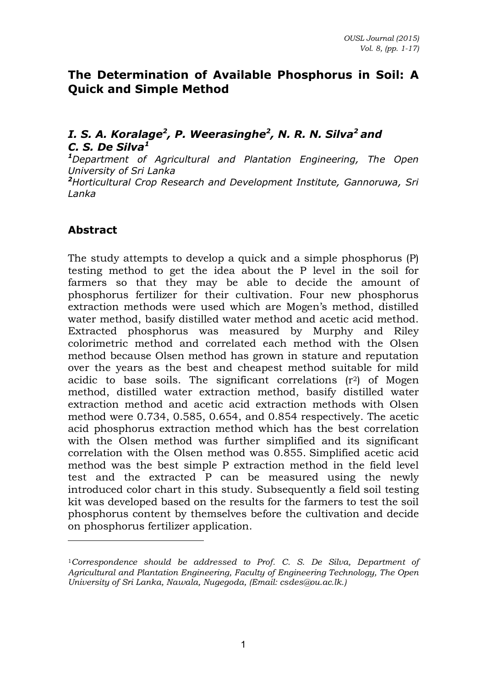# **The Determination of Available Phosphorus in Soil: A Quick and Simple Method**

# *I. S. A. Koralage<sup>2</sup> , P. Weerasinghe<sup>2</sup> , N. R. N. Silva<sup>2</sup>and C. S. De Silva<sup>1</sup>*

*<sup>1</sup>Department of Agricultural and Plantation Engineering, The Open University of Sri Lanka <sup>2</sup>Horticultural Crop Research and Development Institute, Gannoruwa, Sri Lanka* 

# **Abstract**

 $\overline{a}$ 

The study attempts to develop a quick and a simple phosphorus (P) testing method to get the idea about the P level in the soil for farmers so that they may be able to decide the amount of phosphorus fertilizer for their cultivation. Four new phosphorus extraction methods were used which are Mogen's method, distilled water method, basify distilled water method and acetic acid method. Extracted phosphorus was measured by Murphy and Riley colorimetric method and correlated each method with the Olsen method because Olsen method has grown in stature and reputation over the years as the best and cheapest method suitable for mild acidic to base soils. The significant correlations  $(r^2)$  of Mogen method, distilled water extraction method, basify distilled water extraction method and acetic acid extraction methods with Olsen method were 0.734, 0.585, 0.654, and 0.854 respectively. The acetic acid phosphorus extraction method which has the best correlation with the Olsen method was further simplified and its significant correlation with the Olsen method was 0.855. Simplified acetic acid method was the best simple P extraction method in the field level test and the extracted P can be measured using the newly introduced color chart in this study. Subsequently a field soil testing kit was developed based on the results for the farmers to test the soil phosphorus content by themselves before the cultivation and decide on phosphorus fertilizer application.

<sup>1</sup>*Correspondence should be addressed to Prof. C. S. De Silva, Department of Agricultural and Plantation Engineering, Faculty of Engineering Technology, The Open University of Sri Lanka, Nawala, Nugegoda, (Email: csdes@ou.ac.lk.)*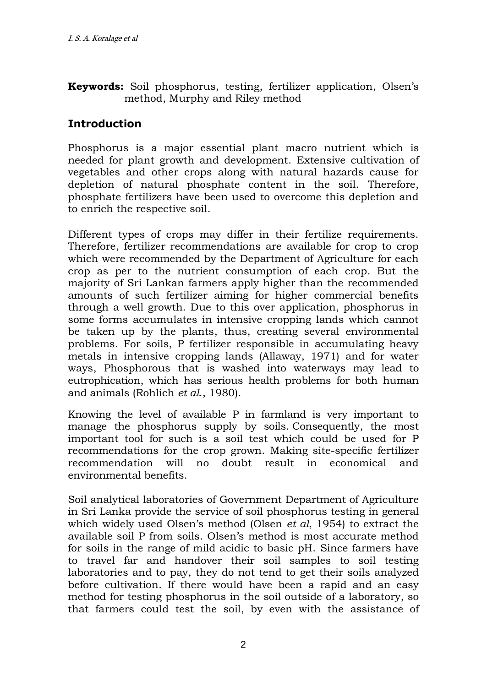**Keywords:** Soil phosphorus, testing, fertilizer application, Olsen's method, Murphy and Riley method

# **Introduction**

Phosphorus is a major essential plant macro nutrient which is needed for plant growth and development. Extensive cultivation of vegetables and other crops along with natural hazards cause for depletion of natural phosphate content in the soil. Therefore, phosphate fertilizers have been used to overcome this depletion and to enrich the respective soil.

Different types of crops may differ in their fertilize requirements. Therefore, fertilizer recommendations are available for crop to crop which were recommended by the Department of Agriculture for each crop as per to the nutrient consumption of each crop. But the majority of Sri Lankan farmers apply higher than the recommended amounts of such fertilizer aiming for higher commercial benefits through a well growth. Due to this over application, phosphorus in some forms accumulates in intensive cropping lands which cannot be taken up by the plants, thus, creating several environmental problems. For soils, P fertilizer responsible in accumulating heavy metals in intensive cropping lands (Allaway, 1971) and for water ways, Phosphorous that is washed into waterways may lead to eutrophication, which has serious health problems for both human and animals (Rohlich *et al*., 1980).

Knowing the level of available P in farmland is very important to manage the phosphorus supply by soils. Consequently, the most important tool for such is a soil test which could be used for P recommendations for the crop grown. Making site-specific fertilizer recommendation will no doubt result in economical and environmental benefits.

Soil analytical laboratories of Government Department of Agriculture in Sri Lanka provide the service of soil phosphorus testing in general which widely used Olsen's method (Olsen *et al*, 1954) to extract the available soil P from soils. Olsen's method is most accurate method for soils in the range of mild acidic to basic pH. Since farmers have to travel far and handover their soil samples to soil testing laboratories and to pay, they do not tend to get their soils analyzed before cultivation. If there would have been a rapid and an easy method for testing phosphorus in the soil outside of a laboratory, so that farmers could test the soil, by even with the assistance of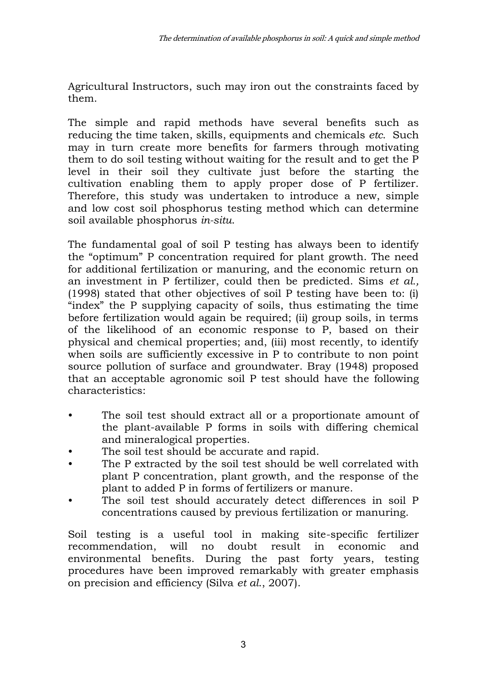Agricultural Instructors, such may iron out the constraints faced by them.

The simple and rapid methods have several benefits such as reducing the time taken, skills, equipments and chemicals *etc*. Such may in turn create more benefits for farmers through motivating them to do soil testing without waiting for the result and to get the P level in their soil they cultivate just before the starting the cultivation enabling them to apply proper dose of P fertilizer. Therefore, this study was undertaken to introduce a new, simple and low cost soil phosphorus testing method which can determine soil available phosphorus *in-situ*.

The fundamental goal of soil P testing has always been to identify the "optimum" P concentration required for plant growth. The need for additional fertilization or manuring, and the economic return on an investment in P fertilizer, could then be predicted. Sims *et al.,* (1998) stated that other objectives of soil P testing have been to: (i) "index" the P supplying capacity of soils, thus estimating the time before fertilization would again be required; (ii) group soils, in terms of the likelihood of an economic response to P, based on their physical and chemical properties; and, (iii) most recently, to identify when soils are sufficiently excessive in P to contribute to non point source pollution of surface and groundwater. Bray (1948) proposed that an acceptable agronomic soil P test should have the following characteristics:

- The soil test should extract all or a proportionate amount of the plant-available P forms in soils with differing chemical and mineralogical properties.
- The soil test should be accurate and rapid.
- The P extracted by the soil test should be well correlated with plant P concentration, plant growth, and the response of the plant to added P in forms of fertilizers or manure.
- The soil test should accurately detect differences in soil P concentrations caused by previous fertilization or manuring.

Soil testing is a useful tool in making site-specific fertilizer recommendation, will no doubt result in economic and environmental benefits. During the past forty years, testing procedures have been improved remarkably with greater emphasis on precision and efficiency (Silva *et al*., 2007).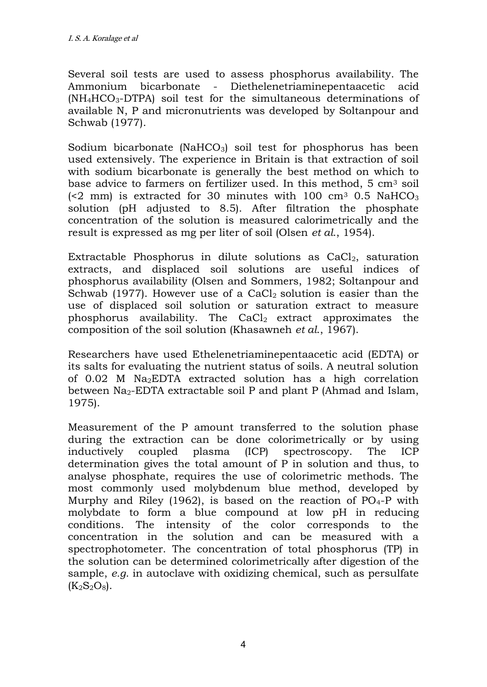Several soil tests are used to assess phosphorus availability. The Ammonium bicarbonate - Diethelenetriaminepentaacetic acid (NH4HCO3-DTPA) soil test for the simultaneous determinations of available N, P and micronutrients was developed by Soltanpour and Schwab (1977).

Sodium bicarbonate (Na $HCO<sub>3</sub>$ ) soil test for phosphorus has been used extensively. The experience in Britain is that extraction of soil with sodium bicarbonate is generally the best method on which to base advice to farmers on fertilizer used. In this method, 5 cm3 soil  $\approx$  (<2 mm) is extracted for 30 minutes with 100 cm<sup>3</sup> 0.5 NaHCO<sub>3</sub> solution (pH adjusted to 8.5). After filtration the phosphate concentration of the solution is measured calorimetrically and the result is expressed as mg per liter of soil (Olsen *et al*., 1954).

Extractable Phosphorus in dilute solutions as  $CaCl<sub>2</sub>$ , saturation extracts, and displaced soil solutions are useful indices of phosphorus availability (Olsen and Sommers, 1982; Soltanpour and Schwab (1977). However use of a CaCl<sub>2</sub> solution is easier than the use of displaced soil solution or saturation extract to measure phosphorus availability. The  $CaCl<sub>2</sub>$  extract approximates the composition of the soil solution (Khasawneh *et al*., 1967).

Researchers have used Ethelenetriaminepentaacetic acid (EDTA) or its salts for evaluating the nutrient status of soils. A neutral solution of 0.02 M Na2EDTA extracted solution has a high correlation between Na<sub>2</sub>-EDTA extractable soil P and plant P (Ahmad and Islam, 1975).

Measurement of the P amount transferred to the solution phase during the extraction can be done colorimetrically or by using inductively coupled plasma (ICP) spectroscopy. The ICP determination gives the total amount of P in solution and thus, to analyse phosphate, requires the use of colorimetric methods. The most commonly used molybdenum blue method, developed by Murphy and Riley (1962), is based on the reaction of  $PO_4$ -P with molybdate to form a blue compound at low pH in reducing conditions. The intensity of the color corresponds to the concentration in the solution and can be measured with a spectrophotometer. The concentration of total phosphorus (TP) in the solution can be determined colorimetrically after digestion of the sample, *e.g*. in autoclave with oxidizing chemical, such as persulfate  $(K_2S_2O_8).$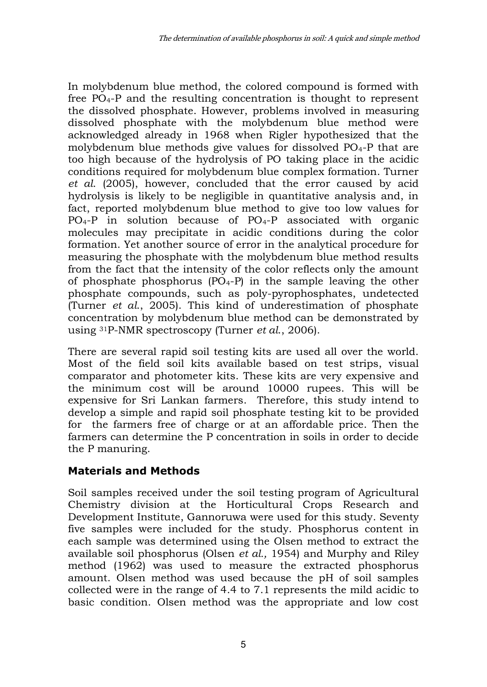In molybdenum blue method, the colored compound is formed with free PO4-P and the resulting concentration is thought to represent the dissolved phosphate. However, problems involved in measuring dissolved phosphate with the molybdenum blue method were acknowledged already in 1968 when Rigler hypothesized that the molybdenum blue methods give values for dissolved PO4-P that are too high because of the hydrolysis of PO taking place in the acidic conditions required for molybdenum blue complex formation. Turner *et al*. (2005), however, concluded that the error caused by acid hydrolysis is likely to be negligible in quantitative analysis and, in fact, reported molybdenum blue method to give too low values for PO4-P in solution because of PO4-P associated with organic molecules may precipitate in acidic conditions during the color formation. Yet another source of error in the analytical procedure for measuring the phosphate with the molybdenum blue method results from the fact that the intensity of the color reflects only the amount of phosphate phosphorus  $(PO<sub>4</sub>-P)$  in the sample leaving the other phosphate compounds, such as poly-pyrophosphates, undetected (Turner *et al*., 2005). This kind of underestimation of phosphate concentration by molybdenum blue method can be demonstrated by using 31P-NMR spectroscopy (Turner *et al*., 2006).

There are several rapid soil testing kits are used all over the world. Most of the field soil kits available based on test strips, visual comparator and photometer kits. These kits are very expensive and the minimum cost will be around 10000 rupees. This will be expensive for Sri Lankan farmers. Therefore, this study intend to develop a simple and rapid soil phosphate testing kit to be provided for the farmers free of charge or at an affordable price. Then the farmers can determine the P concentration in soils in order to decide the P manuring.

# **Materials and Methods**

Soil samples received under the soil testing program of Agricultural Chemistry division at the Horticultural Crops Research and Development Institute, Gannoruwa were used for this study. Seventy five samples were included for the study. Phosphorus content in each sample was determined using the Olsen method to extract the available soil phosphorus (Olsen *et al.,* 1954) and Murphy and Riley method (1962) was used to measure the extracted phosphorus amount. Olsen method was used because the pH of soil samples collected were in the range of 4.4 to 7.1 represents the mild acidic to basic condition. Olsen method was the appropriate and low cost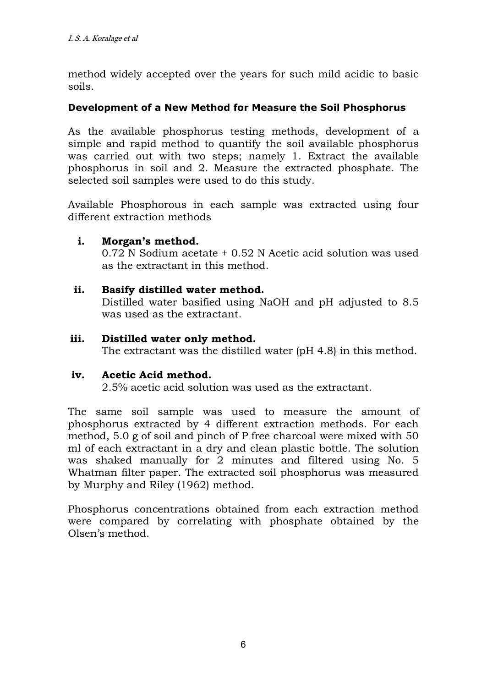method widely accepted over the years for such mild acidic to basic soils.

#### **Development of a New Method for Measure the Soil Phosphorus**

As the available phosphorus testing methods, development of a simple and rapid method to quantify the soil available phosphorus was carried out with two steps; namely 1. Extract the available phosphorus in soil and 2. Measure the extracted phosphate. The selected soil samples were used to do this study.

Available Phosphorous in each sample was extracted using four different extraction methods

### **i. Morgan's method.**

0.72 N Sodium acetate + 0.52 N Acetic acid solution was used as the extractant in this method.

#### **ii. Basify distilled water method.**

Distilled water basified using NaOH and pH adjusted to 8.5 was used as the extractant.

#### **iii. Distilled water only method.**

The extractant was the distilled water (pH 4.8) in this method.

#### **iv. Acetic Acid method.**

2.5% acetic acid solution was used as the extractant.

The same soil sample was used to measure the amount of phosphorus extracted by 4 different extraction methods. For each method, 5.0 g of soil and pinch of P free charcoal were mixed with 50 ml of each extractant in a dry and clean plastic bottle. The solution was shaked manually for 2 minutes and filtered using No. 5 Whatman filter paper. The extracted soil phosphorus was measured by Murphy and Riley (1962) method.

Phosphorus concentrations obtained from each extraction method were compared by correlating with phosphate obtained by the Olsen's method.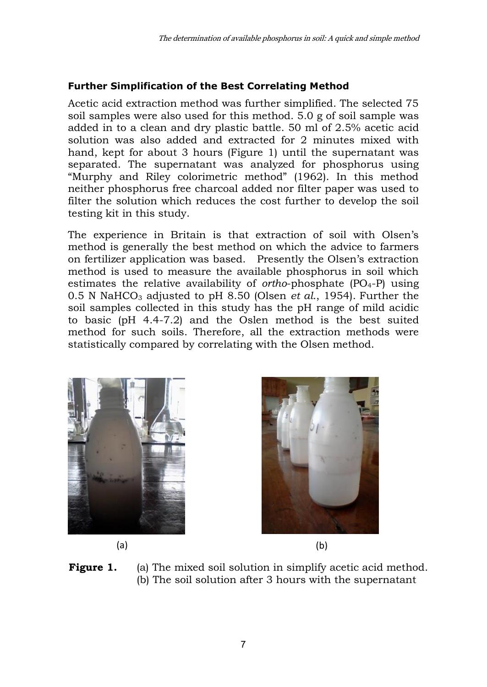# **Further Simplification of the Best Correlating Method**

Acetic acid extraction method was further simplified. The selected 75 soil samples were also used for this method. 5.0 g of soil sample was added in to a clean and dry plastic battle. 50 ml of 2.5% acetic acid solution was also added and extracted for 2 minutes mixed with hand, kept for about 3 hours (Figure 1) until the supernatant was separated. The supernatant was analyzed for phosphorus using "Murphy and Riley colorimetric method" (1962). In this method neither phosphorus free charcoal added nor filter paper was used to filter the solution which reduces the cost further to develop the soil testing kit in this study.

The experience in Britain is that extraction of soil with Olsen's method is generally the best method on which the advice to farmers on fertilizer application was based. Presently the Olsen's extraction method is used to measure the available phosphorus in soil which estimates the relative availability of *ortho*-phosphate (PO4-P) using 0.5 N NaHCO<sub>3</sub> adjusted to pH 8.50 (Olsen *et al.*, 1954). Further the soil samples collected in this study has the pH range of mild acidic to basic (pH  $4.4$ -7.2) and the Oslen method is the best suited method for such soils. Therefore, all the extraction methods were statistically compared by correlating with the Olsen method.







(a) (b)

Figure 1. (a) The mixed soil solution in simplify acetic acid method. (b) The soil solution after 3 hours with the supernatant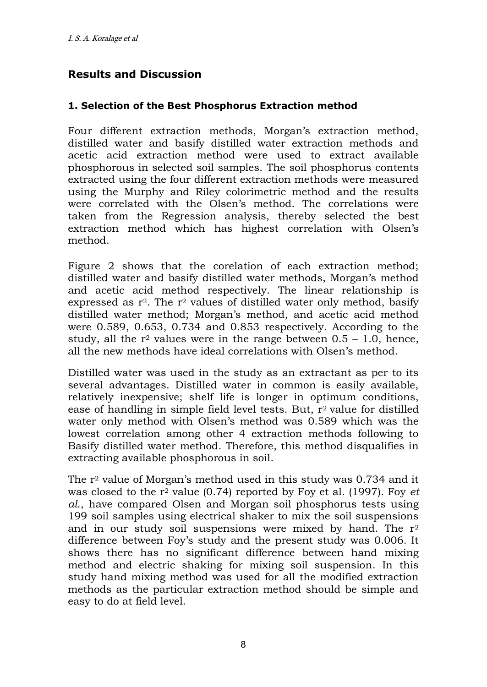# **Results and Discussion**

#### **1. Selection of the Best Phosphorus Extraction method**

Four different extraction methods, Morgan's extraction method, distilled water and basify distilled water extraction methods and acetic acid extraction method were used to extract available phosphorous in selected soil samples. The soil phosphorus contents extracted using the four different extraction methods were measured using the Murphy and Riley colorimetric method and the results were correlated with the Olsen's method. The correlations were taken from the Regression analysis, thereby selected the best extraction method which has highest correlation with Olsen's method.

Figure 2 shows that the corelation of each extraction method; distilled water and basify distilled water methods, Morgan's method and acetic acid method respectively. The linear relationship is expressed as  $r^2$ . The  $r^2$  values of distilled water only method, basify distilled water method; Morgan's method, and acetic acid method were 0.589, 0.653, 0.734 and 0.853 respectively. According to the study, all the  $r^2$  values were in the range between  $0.5 - 1.0$ , hence, all the new methods have ideal correlations with Olsen's method.

Distilled water was used in the study as an extractant as per to its several advantages. Distilled water in common is easily available, relatively inexpensive; shelf life is longer in optimum conditions, ease of handling in simple field level tests. But, r<sup>2</sup> value for distilled water only method with Olsen's method was 0.589 which was the lowest correlation among other 4 extraction methods following to Basify distilled water method. Therefore, this method disqualifies in extracting available phosphorous in soil.

The  $r^2$  value of Morgan's method used in this study was 0.734 and it was closed to the r2 value (0.74) reported by Foy et al. (1997). Foy *et al*., have compared Olsen and Morgan soil phosphorus tests using 199 soil samples using electrical shaker to mix the soil suspensions and in our study soil suspensions were mixed by hand. The  $r^2$ difference between Foy's study and the present study was 0.006. It shows there has no significant difference between hand mixing method and electric shaking for mixing soil suspension. In this study hand mixing method was used for all the modified extraction methods as the particular extraction method should be simple and easy to do at field level.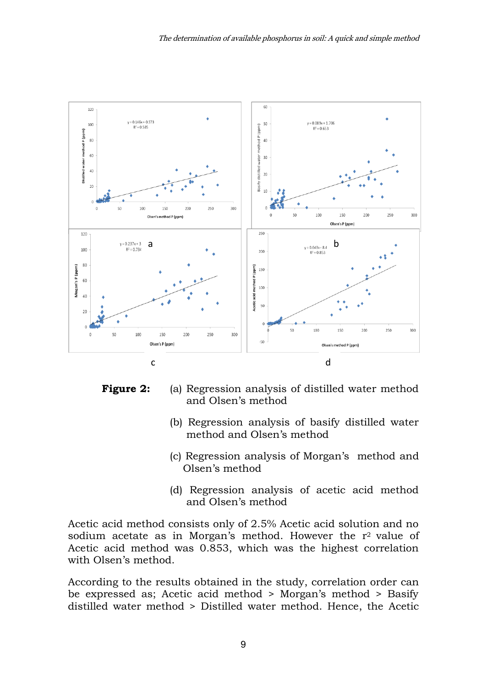

**Figure 2:** (a) Regression analysis of distilled water method and Olsen's method

- (b) Regression analysis of basify distilled water method and Olsen's method
- (c) Regression analysis of Morgan's method and Olsen's method
- (d) Regression analysis of acetic acid method and Olsen's method

Acetic acid method consists only of 2.5% Acetic acid solution and no sodium acetate as in Morgan's method. However the  $r^2$  value of Acetic acid method was 0.853, which was the highest correlation with Olsen's method.

According to the results obtained in the study, correlation order can be expressed as; Acetic acid method > Morgan's method > Basify distilled water method > Distilled water method. Hence, the Acetic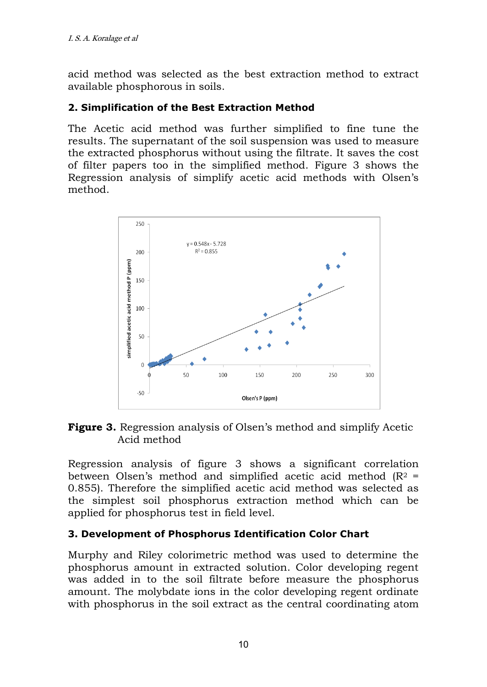acid method was selected as the best extraction method to extract available phosphorous in soils.

### **2. Simplification of the Best Extraction Method**

The Acetic acid method was further simplified to fine tune the results. The supernatant of the soil suspension was used to measure the extracted phosphorus without using the filtrate. It saves the cost of filter papers too in the simplified method. Figure 3 shows the Regression analysis of simplify acetic acid methods with Olsen's method.



### **Figure 3.** Regression analysis of Olsen's method and simplify Acetic Acid method

Regression analysis of figure 3 shows a significant correlation between Olsen's method and simplified acetic acid method  $(R<sup>2</sup>)$ 0.855). Therefore the simplified acetic acid method was selected as the simplest soil phosphorus extraction method which can be applied for phosphorus test in field level.

#### **3. Development of Phosphorus Identification Color Chart**

Murphy and Riley colorimetric method was used to determine the phosphorus amount in extracted solution. Color developing regent was added in to the soil filtrate before measure the phosphorus amount. The molybdate ions in the color developing regent ordinate with phosphorus in the soil extract as the central coordinating atom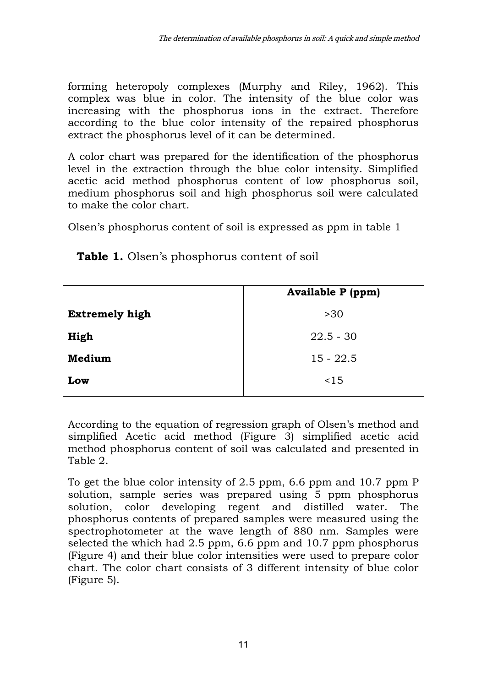forming heteropoly complexes (Murphy and Riley, 1962). This complex was blue in color. The intensity of the blue color was increasing with the phosphorus ions in the extract. Therefore according to the blue color intensity of the repaired phosphorus extract the phosphorus level of it can be determined.

A color chart was prepared for the identification of the phosphorus level in the extraction through the blue color intensity. Simplified acetic acid method phosphorus content of low phosphorus soil, medium phosphorus soil and high phosphorus soil were calculated to make the color chart.

Olsen's phosphorus content of soil is expressed as ppm in table 1

|                       | <b>Available P</b> (ppm) |
|-----------------------|--------------------------|
| <b>Extremely high</b> | >30                      |
| High                  | $22.5 - 30$              |
| Medium                | $15 - 22.5$              |
| Low                   | ~15                      |

**Table 1.** Olsen's phosphorus content of soil

According to the equation of regression graph of Olsen's method and simplified Acetic acid method (Figure 3) simplified acetic acid method phosphorus content of soil was calculated and presented in Table 2.

To get the blue color intensity of 2.5 ppm, 6.6 ppm and 10.7 ppm P solution, sample series was prepared using 5 ppm phosphorus solution, color developing regent and distilled water. The phosphorus contents of prepared samples were measured using the spectrophotometer at the wave length of 880 nm. Samples were selected the which had 2.5 ppm, 6.6 ppm and 10.7 ppm phosphorus (Figure 4) and their blue color intensities were used to prepare color chart. The color chart consists of 3 different intensity of blue color (Figure 5).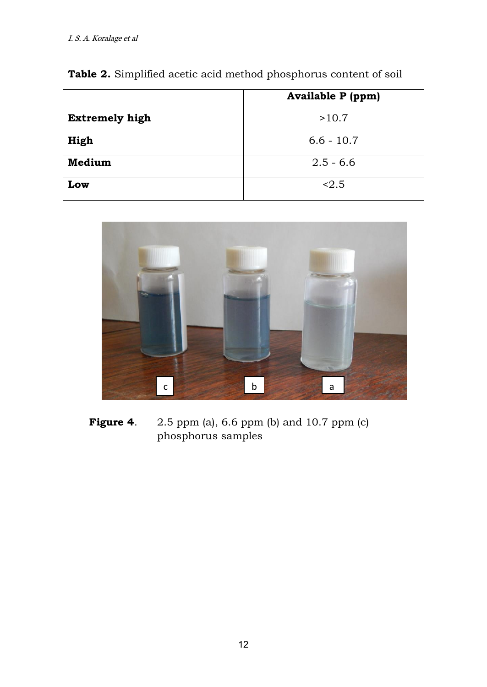|                       | <b>Available P</b> (ppm) |
|-----------------------|--------------------------|
| <b>Extremely high</b> | >10.7                    |
| High                  | $6.6 - 10.7$             |
| Medium                | $2.5 - 6.6$              |
| Low                   | < 2.5                    |

**Table 2.** Simplified acetic acid method phosphorus content of soil



**Figure 4.** 2.5 ppm (a), 6.6 ppm (b) and 10.7 ppm (c) phosphorus samples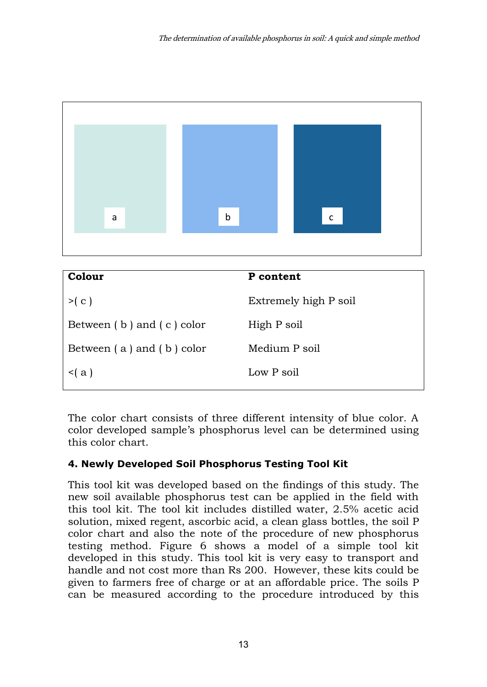

| Colour                        | P content             |
|-------------------------------|-----------------------|
| >(c)                          | Extremely high P soil |
| Between $(b)$ and $(c)$ color | High P soil           |
| Between $(a)$ and $(b)$ color | Medium P soil         |
| $\leq$ (a)                    | Low P soil            |
|                               |                       |

The color chart consists of three different intensity of blue color. A color developed sample's phosphorus level can be determined using this color chart.

## **4. Newly Developed Soil Phosphorus Testing Tool Kit**

This tool kit was developed based on the findings of this study. The new soil available phosphorus test can be applied in the field with this tool kit. The tool kit includes distilled water, 2.5% acetic acid solution, mixed regent, ascorbic acid, a clean glass bottles, the soil P color chart and also the note of the procedure of new phosphorus testing method. Figure 6 shows a model of a simple tool kit developed in this study. This tool kit is very easy to transport and handle and not cost more than Rs 200. However, these kits could be given to farmers free of charge or at an affordable price. The soils P can be measured according to the procedure introduced by this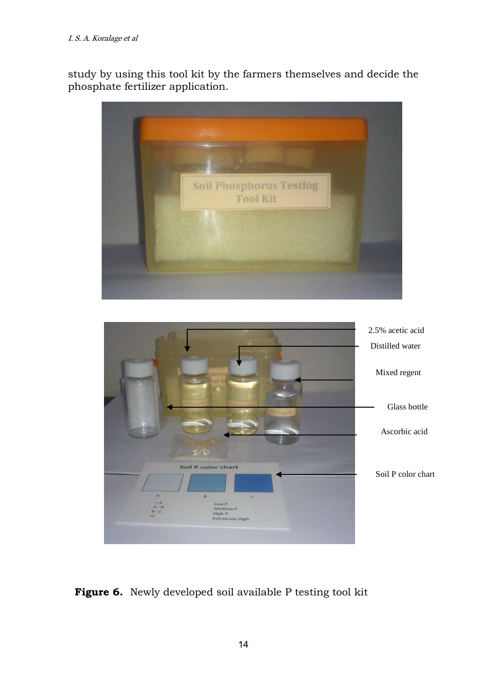study by using this tool kit by the farmers themselves and decide the phosphate fertilizer application.



## **Figure 6.** Newly developed soil available P testing tool kit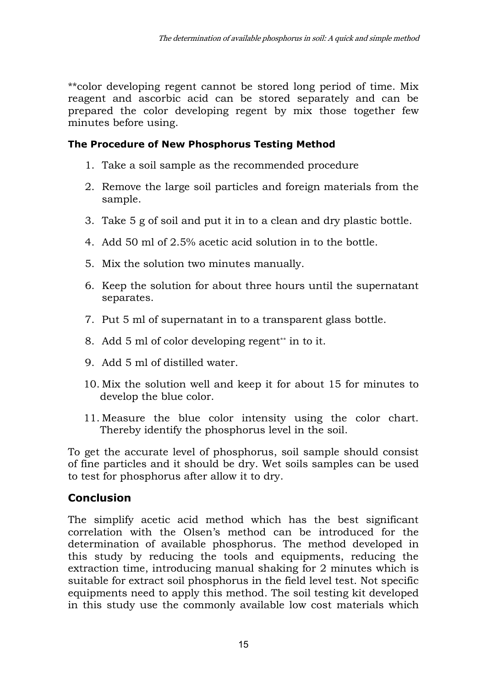\*\*color developing regent cannot be stored long period of time. Mix reagent and ascorbic acid can be stored separately and can be prepared the color developing regent by mix those together few minutes before using.

## **The Procedure of New Phosphorus Testing Method**

- 1. Take a soil sample as the recommended procedure
- 2. Remove the large soil particles and foreign materials from the sample.
- 3. Take 5 g of soil and put it in to a clean and dry plastic bottle.
- 4. Add 50 ml of 2.5% acetic acid solution in to the bottle.
- 5. Mix the solution two minutes manually.
- 6. Keep the solution for about three hours until the supernatant separates.
- 7. Put 5 ml of supernatant in to a transparent glass bottle.
- 8. Add 5 ml of color developing regent<sup>\*\*</sup> in to it.
- 9. Add 5 ml of distilled water.
- 10. Mix the solution well and keep it for about 15 for minutes to develop the blue color.
- 11. Measure the blue color intensity using the color chart. Thereby identify the phosphorus level in the soil.

To get the accurate level of phosphorus, soil sample should consist of fine particles and it should be dry. Wet soils samples can be used to test for phosphorus after allow it to dry.

# **Conclusion**

The simplify acetic acid method which has the best significant correlation with the Olsen's method can be introduced for the determination of available phosphorus. The method developed in this study by reducing the tools and equipments, reducing the extraction time, introducing manual shaking for 2 minutes which is suitable for extract soil phosphorus in the field level test. Not specific equipments need to apply this method. The soil testing kit developed in this study use the commonly available low cost materials which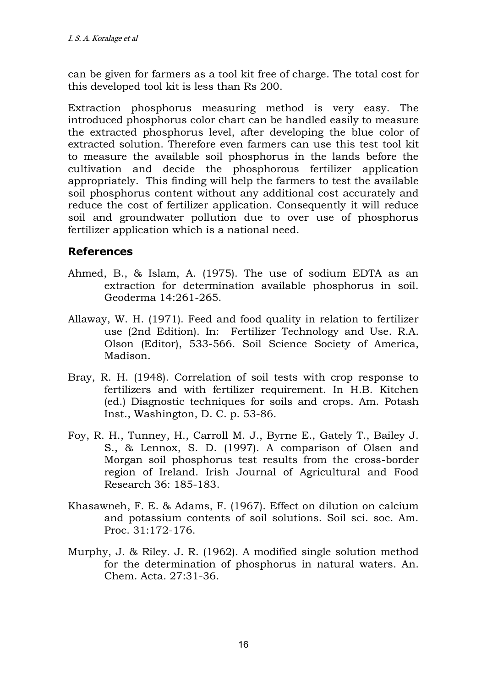can be given for farmers as a tool kit free of charge. The total cost for this developed tool kit is less than Rs 200.

Extraction phosphorus measuring method is very easy. The introduced phosphorus color chart can be handled easily to measure the extracted phosphorus level, after developing the blue color of extracted solution. Therefore even farmers can use this test tool kit to measure the available soil phosphorus in the lands before the cultivation and decide the phosphorous fertilizer application appropriately. This finding will help the farmers to test the available soil phosphorus content without any additional cost accurately and reduce the cost of fertilizer application. Consequently it will reduce soil and groundwater pollution due to over use of phosphorus fertilizer application which is a national need.

## **References**

- Ahmed, B., & Islam, A. (1975). The use of sodium EDTA as an extraction for determination available phosphorus in soil. Geoderma 14:261-265.
- Allaway, W. H. (1971). Feed and food quality in relation to fertilizer use (2nd Edition). In: Fertilizer Technology and Use. R.A. Olson (Editor), 533-566. Soil Science Society of America, Madison.
- Bray, R. H. (1948). Correlation of soil tests with crop response to fertilizers and with fertilizer requirement. In H.B. Kitchen (ed.) Diagnostic techniques for soils and crops. Am. Potash Inst., Washington, D. C. p. 53-86.
- Foy, R. H., Tunney, H., Carroll M. J., Byrne E., Gately T., Bailey J. S., & Lennox, S. D. (1997). A comparison of Olsen and Morgan soil phosphorus test results from the cross-border region of Ireland. Irish Journal of Agricultural and Food Research 36: 185-183.
- Khasawneh, F. E. & Adams, F. (1967). Effect on dilution on calcium and potassium contents of soil solutions. Soil sci. soc. Am. Proc. 31:172-176.
- Murphy, J. & Riley. J. R. (1962). A modified single solution method for the determination of phosphorus in natural waters. An. Chem. Acta. 27:31-36.